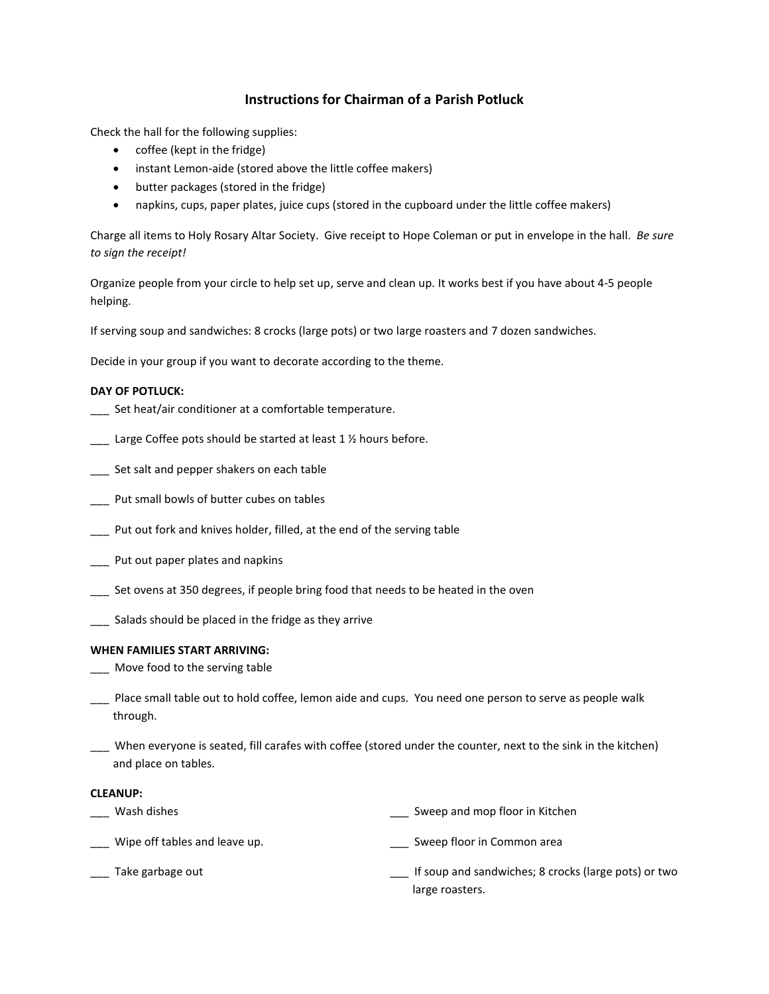# **Instructions for Chairman of a Parish Potluck**

Check the hall for the following supplies:

- coffee (kept in the fridge)
- instant Lemon-aide (stored above the little coffee makers)
- butter packages (stored in the fridge)
- napkins, cups, paper plates, juice cups (stored in the cupboard under the little coffee makers)

Charge all items to Holy Rosary Altar Society. Give receipt to Hope Coleman or put in envelope in the hall. *Be sure to sign the receipt!*

Organize people from your circle to help set up, serve and clean up. It works best if you have about 4-5 people helping.

If serving soup and sandwiches: 8 crocks (large pots) or two large roasters and 7 dozen sandwiches.

Decide in your group if you want to decorate according to the theme.

### **DAY OF POTLUCK:**

- Set heat/air conditioner at a comfortable temperature.
- $\Box$  Large Coffee pots should be started at least 1 % hours before.
- \_\_\_ Set salt and pepper shakers on each table
- Put small bowls of butter cubes on tables
- \_\_\_ Put out fork and knives holder, filled, at the end of the serving table
- \_\_\_ Put out paper plates and napkins
- \_\_\_ Set ovens at 350 degrees, if people bring food that needs to be heated in the oven
- \_\_\_ Salads should be placed in the fridge as they arrive

#### **WHEN FAMILIES START ARRIVING:**

- \_\_\_ Move food to the serving table
- \_\_\_ Place small table out to hold coffee, lemon aide and cups. You need one person to serve as people walk through.
- \_\_\_ When everyone is seated, fill carafes with coffee (stored under the counter, next to the sink in the kitchen) and place on tables.

## **CLEANUP:**

- \_\_\_ Wash dishes \_\_\_ Sweep and mop floor in Kitchen
- \_\_\_ Wipe off tables and leave up. \_\_\_ Sweep floor in Common area
- \_\_\_ Take garbage out

\_\_\_ If soup and sandwiches; 8 crocks (large pots) or two large roasters.